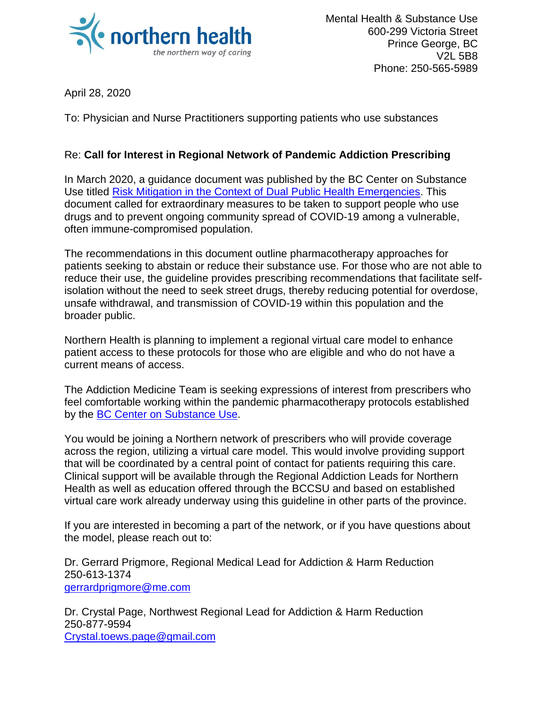

April 28, 2020

To: Physician and Nurse Practitioners supporting patients who use substances

## Re: **Call for Interest in Regional Network of Pandemic Addiction Prescribing**

In March 2020, a guidance document was published by the BC Center on Substance Use titled [Risk Mitigation in the Context of Dual Public Health Emergencies.](https://www.bccsu.ca/wp-content/uploads/2020/04/Risk-Mitigation-in-the-Context-of-Dual-Public-Health-Emergencies-v1.5.pdf) This document called for extraordinary measures to be taken to support people who use drugs and to prevent ongoing community spread of COVID-19 among a vulnerable, often immune-compromised population.

The recommendations in this document outline pharmacotherapy approaches for patients seeking to abstain or reduce their substance use. For those who are not able to reduce their use, the guideline provides prescribing recommendations that facilitate selfisolation without the need to seek street drugs, thereby reducing potential for overdose, unsafe withdrawal, and transmission of COVID-19 within this population and the broader public.

Northern Health is planning to implement a regional virtual care model to enhance patient access to these protocols for those who are eligible and who do not have a current means of access.

The Addiction Medicine Team is seeking expressions of interest from prescribers who feel comfortable working within the pandemic pharmacotherapy protocols established by the [BC Center on Substance Use.](https://www.bccsu.ca/)

You would be joining a Northern network of prescribers who will provide coverage across the region, utilizing a virtual care model. This would involve providing support that will be coordinated by a central point of contact for patients requiring this care. Clinical support will be available through the Regional Addiction Leads for Northern Health as well as education offered through the BCCSU and based on established virtual care work already underway using this guideline in other parts of the province.

If you are interested in becoming a part of the network, or if you have questions about the model, please reach out to:

Dr. Gerrard Prigmore, Regional Medical Lead for Addiction & Harm Reduction 250-613-1374 [gerrardprigmore@me.com](mailto:gerrardprigmore@me.com)

Dr. Crystal Page, Northwest Regional Lead for Addiction & Harm Reduction 250-877-9594 [Crystal.toews.page@gmail.com](mailto:Crystal.toews.page@gmail.com)